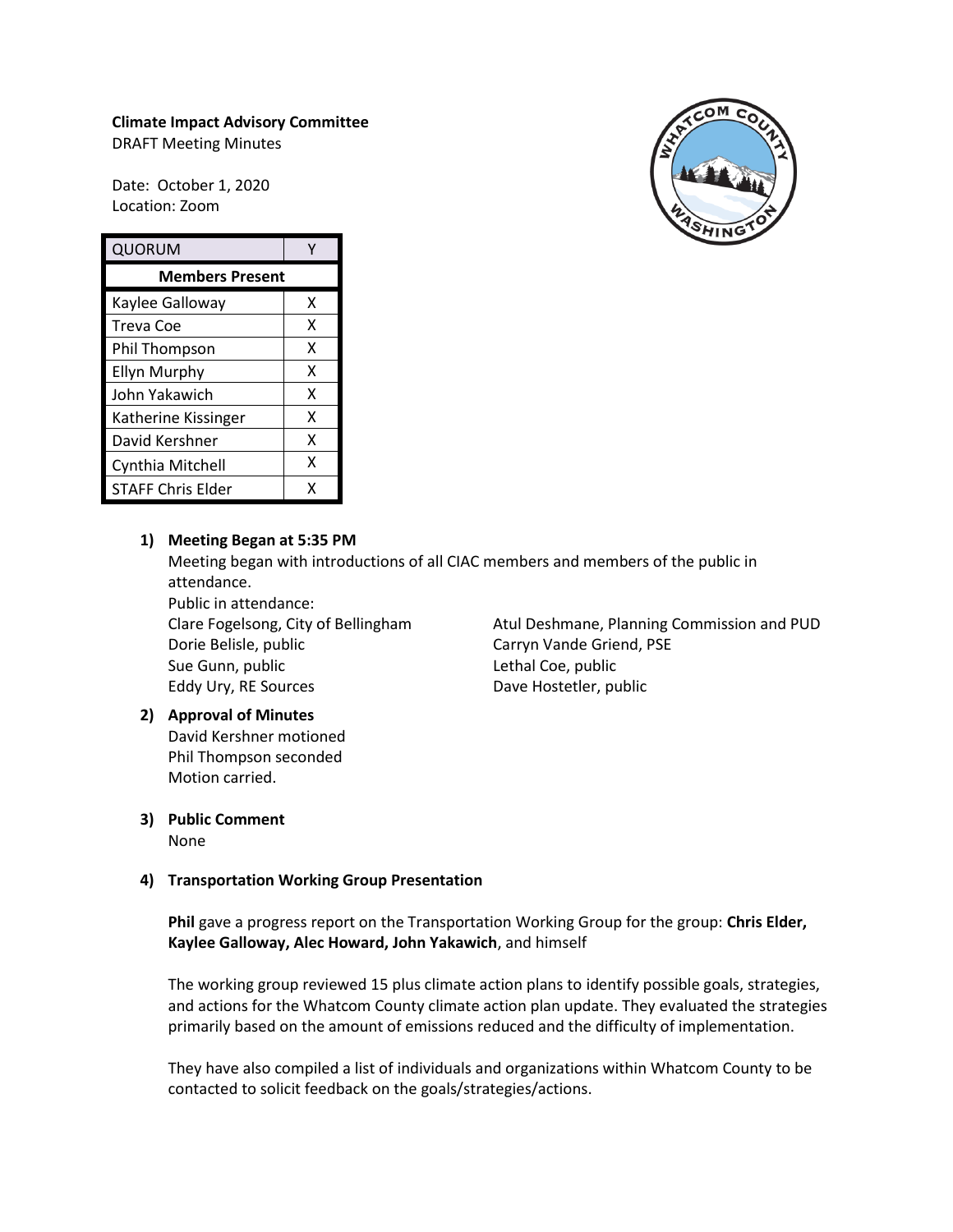### **Climate Impact Advisory Committee**

DRAFT Meeting Minutes

Date: October 1, 2020 Location: Zoom

| QUORUM                   |   |
|--------------------------|---|
| <b>Members Present</b>   |   |
| Kaylee Galloway          | x |
| Treva Coe                | x |
| Phil Thompson            | x |
| <b>Ellyn Murphy</b>      | x |
| John Yakawich            | x |
| Katherine Kissinger      | x |
| David Kershner           | x |
| Cynthia Mitchell         | X |
| <b>STAFF Chris Elder</b> | x |

### **1) Meeting Began at 5:35 PM**

Meeting began with introductions of all CIAC members and members of the public in attendance.

Public in attendance: Clare Fogelsong, City of Bellingham Dorie Belisle, public Sue Gunn, public Eddy Ury, RE Sources

### Atul Deshmane, Planning Commission and PUD Carryn Vande Griend, PSE Lethal Coe, public Dave Hostetler, public

## **2) Approval of Minutes**

David Kershner motioned Phil Thompson seconded Motion carried.

### **3) Public Comment**

None

## **4) Transportation Working Group Presentation**

**Phil** gave a progress report on the Transportation Working Group for the group: **Chris Elder, Kaylee Galloway, Alec Howard, John Yakawich**, and himself

The working group reviewed 15 plus climate action plans to identify possible goals, strategies, and actions for the Whatcom County climate action plan update. They evaluated the strategies primarily based on the amount of emissions reduced and the difficulty of implementation.

They have also compiled a list of individuals and organizations within Whatcom County to be contacted to solicit feedback on the goals/strategies/actions.

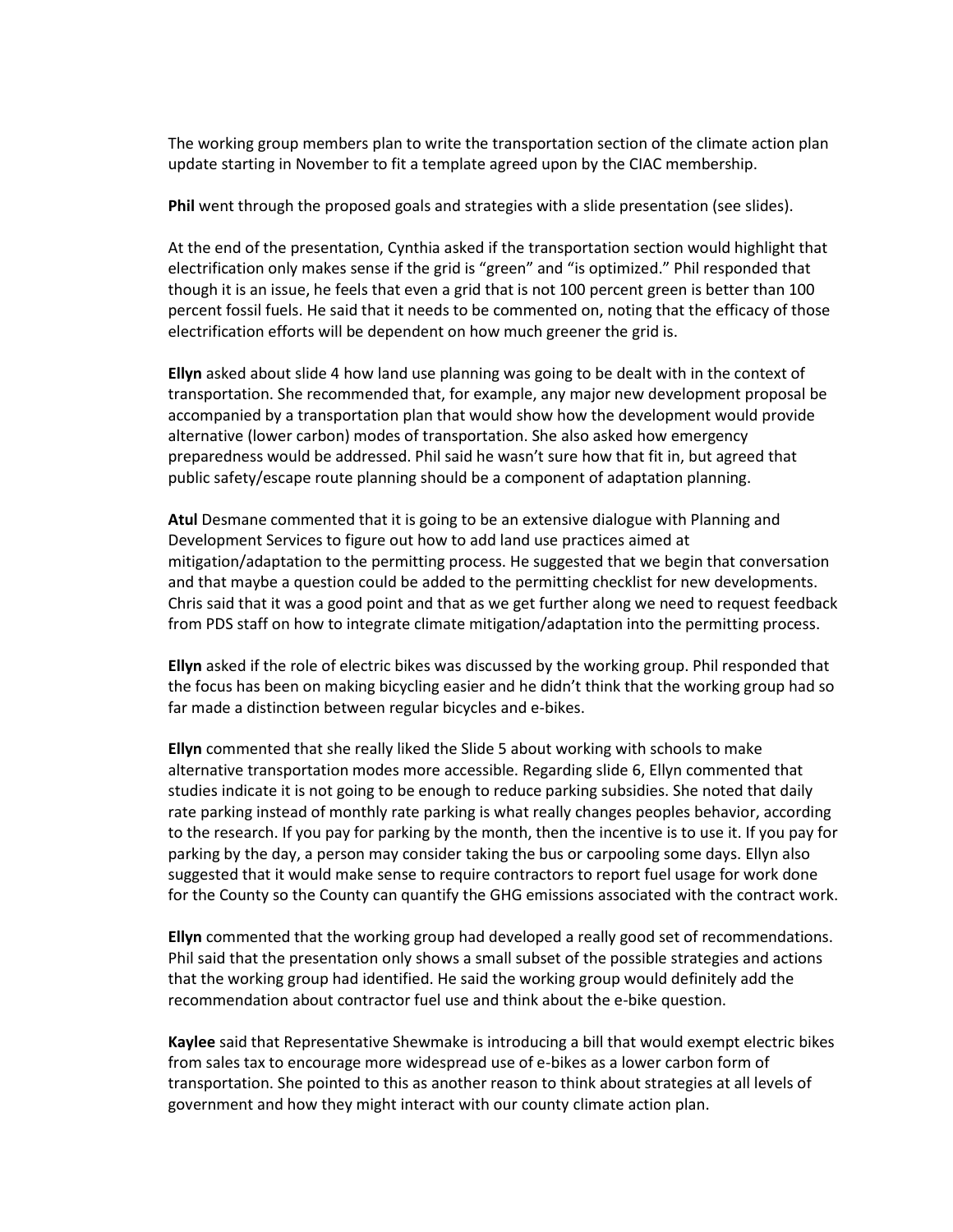The working group members plan to write the transportation section of the climate action plan update starting in November to fit a template agreed upon by the CIAC membership.

**Phil** went through the proposed goals and strategies with a slide presentation (see slides).

At the end of the presentation, Cynthia asked if the transportation section would highlight that electrification only makes sense if the grid is "green" and "is optimized." Phil responded that though it is an issue, he feels that even a grid that is not 100 percent green is better than 100 percent fossil fuels. He said that it needs to be commented on, noting that the efficacy of those electrification efforts will be dependent on how much greener the grid is.

**Ellyn** asked about slide 4 how land use planning was going to be dealt with in the context of transportation. She recommended that, for example, any major new development proposal be accompanied by a transportation plan that would show how the development would provide alternative (lower carbon) modes of transportation. She also asked how emergency preparedness would be addressed. Phil said he wasn't sure how that fit in, but agreed that public safety/escape route planning should be a component of adaptation planning.

**Atul** Desmane commented that it is going to be an extensive dialogue with Planning and Development Services to figure out how to add land use practices aimed at mitigation/adaptation to the permitting process. He suggested that we begin that conversation and that maybe a question could be added to the permitting checklist for new developments. Chris said that it was a good point and that as we get further along we need to request feedback from PDS staff on how to integrate climate mitigation/adaptation into the permitting process.

**Ellyn** asked if the role of electric bikes was discussed by the working group. Phil responded that the focus has been on making bicycling easier and he didn't think that the working group had so far made a distinction between regular bicycles and e-bikes.

**Ellyn** commented that she really liked the Slide 5 about working with schools to make alternative transportation modes more accessible. Regarding slide 6, Ellyn commented that studies indicate it is not going to be enough to reduce parking subsidies. She noted that daily rate parking instead of monthly rate parking is what really changes peoples behavior, according to the research. If you pay for parking by the month, then the incentive is to use it. If you pay for parking by the day, a person may consider taking the bus or carpooling some days. Ellyn also suggested that it would make sense to require contractors to report fuel usage for work done for the County so the County can quantify the GHG emissions associated with the contract work.

**Ellyn** commented that the working group had developed a really good set of recommendations. Phil said that the presentation only shows a small subset of the possible strategies and actions that the working group had identified. He said the working group would definitely add the recommendation about contractor fuel use and think about the e-bike question.

**Kaylee** said that Representative Shewmake is introducing a bill that would exempt electric bikes from sales tax to encourage more widespread use of e-bikes as a lower carbon form of transportation. She pointed to this as another reason to think about strategies at all levels of government and how they might interact with our county climate action plan.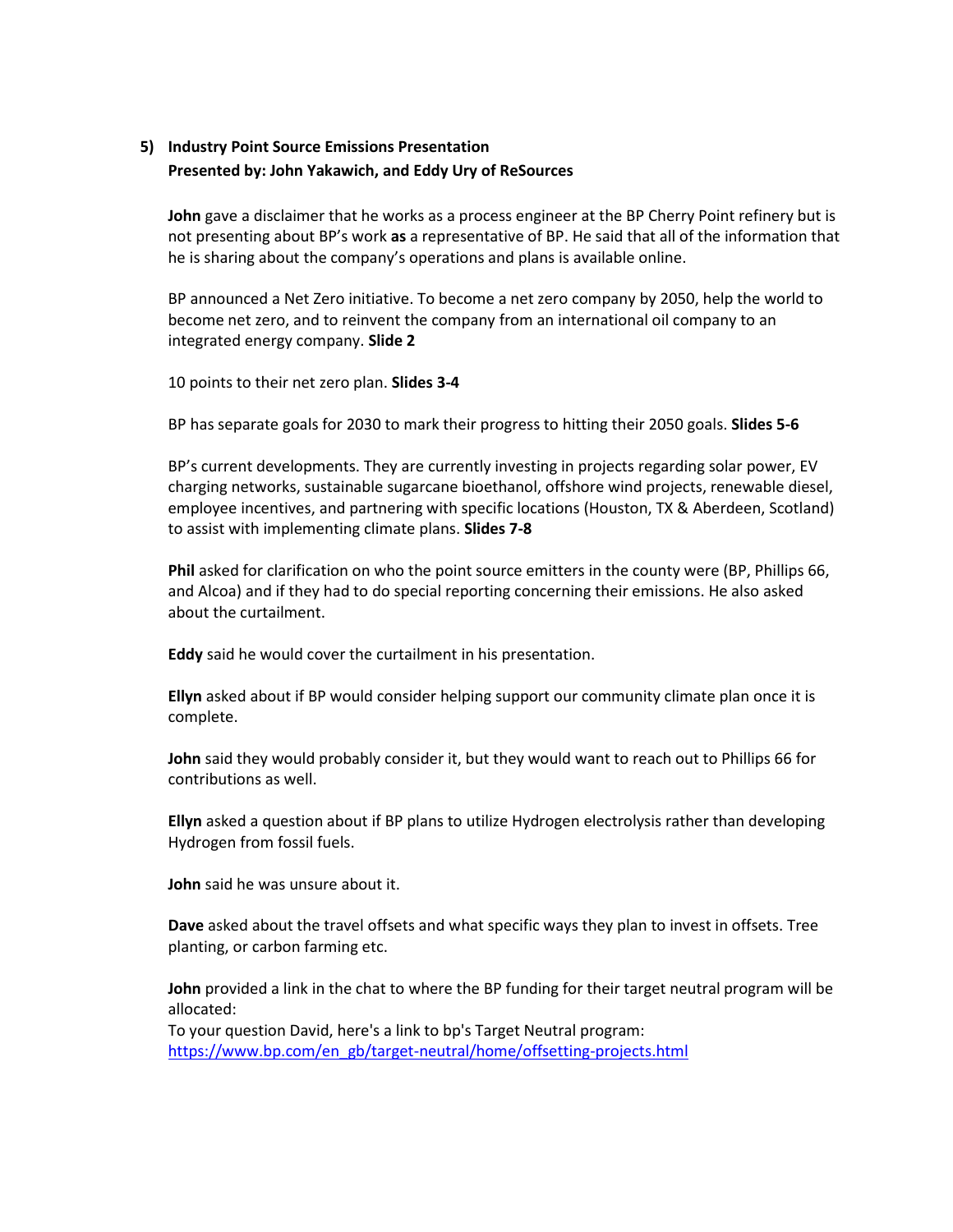# **5) Industry Point Source Emissions Presentation Presented by: John Yakawich, and Eddy Ury of ReSources**

**John** gave a disclaimer that he works as a process engineer at the BP Cherry Point refinery but is not presenting about BP's work **as** a representative of BP. He said that all of the information that he is sharing about the company's operations and plans is available online.

BP announced a Net Zero initiative. To become a net zero company by 2050, help the world to become net zero, and to reinvent the company from an international oil company to an integrated energy company. **Slide 2**

10 points to their net zero plan. **Slides 3-4**

BP has separate goals for 2030 to mark their progress to hitting their 2050 goals. **Slides 5-6**

BP's current developments. They are currently investing in projects regarding solar power, EV charging networks, sustainable sugarcane bioethanol, offshore wind projects, renewable diesel, employee incentives, and partnering with specific locations (Houston, TX & Aberdeen, Scotland) to assist with implementing climate plans. **Slides 7-8**

**Phil** asked for clarification on who the point source emitters in the county were (BP, Phillips 66, and Alcoa) and if they had to do special reporting concerning their emissions. He also asked about the curtailment.

**Eddy** said he would cover the curtailment in his presentation.

**Ellyn** asked about if BP would consider helping support our community climate plan once it is complete.

**John** said they would probably consider it, but they would want to reach out to Phillips 66 for contributions as well.

**Ellyn** asked a question about if BP plans to utilize Hydrogen electrolysis rather than developing Hydrogen from fossil fuels.

**John** said he was unsure about it.

**Dave** asked about the travel offsets and what specific ways they plan to invest in offsets. Tree planting, or carbon farming etc.

**John** provided a link in the chat to where the BP funding for their target neutral program will be allocated:

To your question David, here's a link to bp's Target Neutral program: [https://www.bp.com/en\\_gb/target-neutral/home/offsetting-projects.html](https://www.bp.com/en_gb/target-neutral/home/offsetting-projects.html)